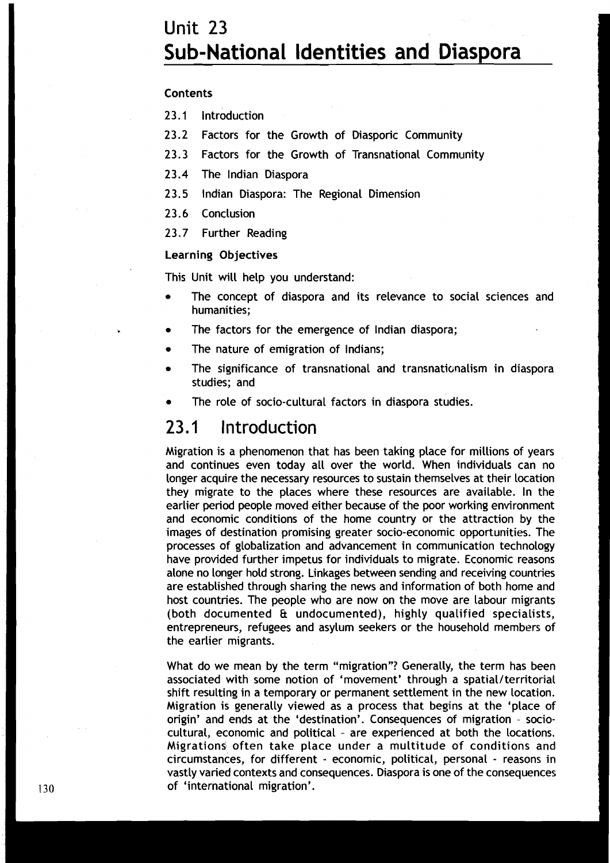# Unit 23  $\sim$  1.1  $\sim$  1.1  $\sim$  1.1  $\sim$  1.1  $\sim$  1.1  $\sim$  1.1  $\sim$  1.1  $\sim$  1.1  $\sim$  1.1  $\sim$  1.1  $\sim$  1.1  $\sim$  1.1  $\sim$  1.1  $\sim$  1.1  $\sim$  1.1  $\sim$  1.1  $\sim$  1.1  $\sim$  1.1  $\sim$  1.1  $\sim$  1.1  $\sim$  1.1  $\sim$  1.1  $\sim$  1.1  $\sim$  1 **Sub-National Identities and Diaspora**

#### **Contents**

**23.1** lntroduction

- **23.2** Factors for the Growth of Diasporic Community
- 23.3 Factors for the Growth of Transnational Community
- **23.4** The lndian Diaspora
- **23.5** lndian Diaspora: The Regional Dimension
- **23.6** Conclusion
- **23.7** Further Reading

#### Learning Objectives

This Unit will help you understand:

- The concept of diaspora and its relevance to social sciences and humanities;
- The factors for the emergence of lndian diaspora;
- The nature of emigration of Indians;
- The significance of transnational and transnationalism in diaspora studies; and
- The role of socio-cultural factors in diaspora studies.

## 23.1 lntroduction

Migration is a phenomenon that has been taking place for millions of years and continues even today all over the world. When individuals can no longer acquire the necessary resources to sustain themselves at their location they migrate to the places where these resources are available. In the earlier period people moved either because of the poor working environment and economic conditions of the home country or the attraction by the images of destination promising greater socio-economic opportunities. The processes of globalization and advancement in communication technology have provided further impetus for individuals to migrate. Economic reasons alone no longer hold strong. Linkages between sending and receiving countries are established through sharing the news and information of both home and host countries. The people who are now on the move are labour migrants (both documented & undocumented), highly qualified specialists, entrepreneurs, refugees and asylum seekers or the household members of the earlier migrants.

What do we mean by the term "migration"? Generally, the term has been associated with some notion of 'movement' through a spatial/territorial shift resulting in a temporary or permanent settlement in the new location. Migration is generally viewed as a process that begins at the 'place of origin' and ends at the 'destination'. Consequences of migration - sociocultural, economic and political - are experienced at both the locations. Migrations often take place under a multitude of conditions and circumstances, for different - economic, political, personal - reasons in vastly varied contexts and consequences. Diaspora is one of the consequences 130 **of 'international migration'.**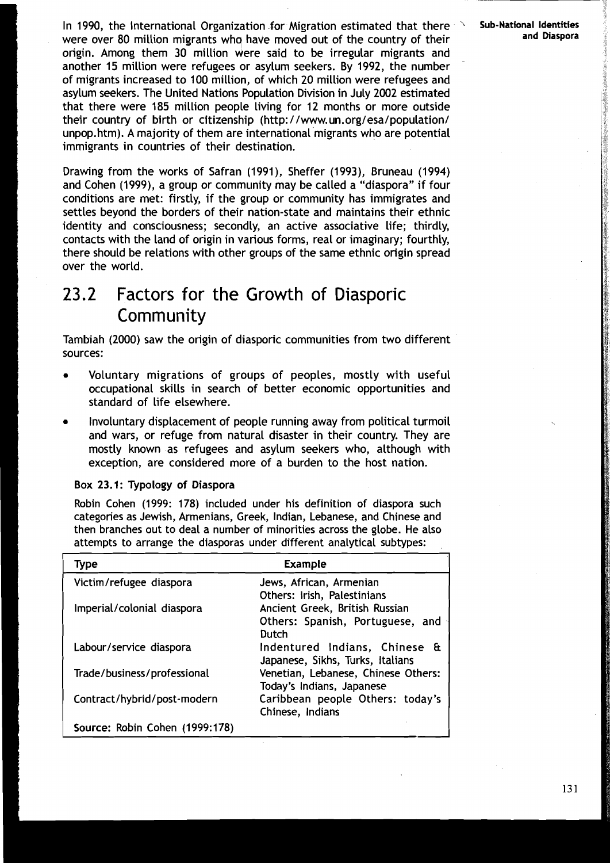In 1990, the International Organization for Migration estimated that there **Sub-National Identities International Identities and Diaspora** were over 80 million migrants whq have moved out of the country of their origin. Among them 30 million were said to be irregular migrants and another 15 million were refugees or asylum seekers. By 1992, the number of migrants increased to 100 million, of which 20 million were refugees and asylum seekers. The United Nations Population Division in July 2002 estimated that there were 185 million people living for 12 months or more outside their country of birth or citizenship (http://www.un.org/esa/population/ unpop.htm). A majority of them are international migrants who are potential immigrants in countries of their destination.

Drawing from the works of Safran (1991), Sheffer (1993), Bruneau (1994) and Cohen (1999), a group or community may be called a "diaspora" if four conditions are met: firstly, if the group or community has immigrates and settles beyond the borders of their nation-state and maintains their ethnic identity and consciousness; secondly, an active associative life; thirdly, contacts with the land of origin in various forms, real or imaginary; fourthly, there should be relations with other groups of the same ethnic origin spread over the world.

# **23.2** Factors for the Growth of Diasporic Community

Tambiah (2000) saw the origin of diasporic communities from two different sources:

- Voluntary migrations of groups of peoples, mostly with useful occupational skills in search of better economic opportunities and standard of life elsewhere.
- Involuntary displacement of people running away from political turmoil and wars, or refuge from natural disaster in their country. They are mostly known as refugees and asylum seekers who, although with exception, are considered more of a burden to the host nation.

Box 23.1: Typology of Diaspora

Robin Cohen (1999: 178) included under his definition of diaspora such categories as Jewish, Armenians, Greek, Indian, Lebanese, and Chinese and then branches out to deal a number of minorities across the globe. He also attempts to arrange the diasporas under different analytical subtypes:

| <b>Type</b>                    | <b>Example</b>                                                    |
|--------------------------------|-------------------------------------------------------------------|
| Victim/refugee diaspora        | Jews, African, Armenian                                           |
|                                | Others: Irish, Palestinians                                       |
| Imperial/colonial diaspora     | Ancient Greek, British Russian                                    |
|                                | Others: Spanish, Portuguese, and                                  |
|                                | Dutch                                                             |
| Labour/service diaspora        | Indentured Indians, Chinese &<br>Japanese, Sikhs, Turks, Italians |
| Trade/business/professional    | Venetian, Lebanese, Chinese Others:                               |
|                                | Today's Indians, Japanese                                         |
| Contract/hybrid/post-modern    | Caribbean people Others: today's                                  |
|                                | Chinese, Indians                                                  |
| Source: Robin Cohen (1999:178) |                                                                   |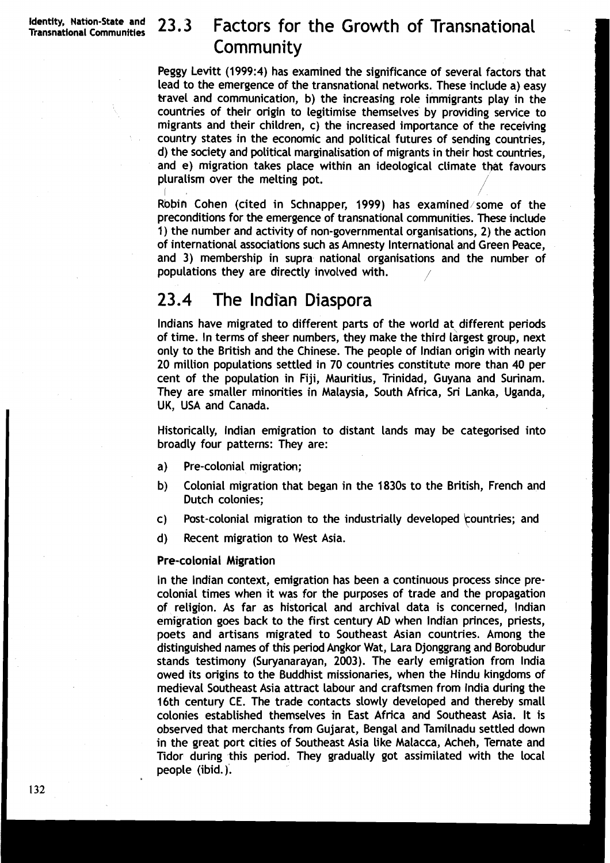# **23.3 Factors for the Growth of Transnational .**<br>Community Factors for the Growth of Transnational<br>Community<br>It (1999:4) has examined the significance of several factors that

Peggy Levitt (1999:4) has examined the significance of several factors that lead to the emergence of the transnational networks. These include a) easy travel and communication, b) the increasing role immigrants play in the countries of their origin to legitimise themselves by providing service to migrants and their children, c) the increased importance of the receiving country states in the economic and political futures of sending countries, d) the society and political marginalisation of migrants in their host countries, and e) migration takes place within an ideological climate that favours pluralism over the melting pot. /

 $\mathcal{L}$  /  $\mathcal{L}$  /  $\mathcal{L}$  /  $\mathcal{L}$  /  $\mathcal{L}$  /  $\mathcal{L}$  /  $\mathcal{L}$  /  $\mathcal{L}$  /  $\mathcal{L}$ Robin Cohen (cited in Schnapper, 1999) has examined/some of the preconditions for the emergence of transnational communities. These include 1) the number and activity of non-governmental organisations, 2) the action of international associations such as Amnesty International and Green Peace, and 3) membership in supra national organisations and the number of populations they are directly involved with.

# 23.4 The Indian Diaspora

Indians have migrated to different parts of the world at different periods of time. In terms of sheer numbers, they make the third largest group, next only to the British and the Chinese. The people of lndian origin with nearly 20 million populations settled in 70 countries constitute more than 40 per cent of the population in Fiji, Mauritius, Trinidad, Guyana and Surinam. They are smaller minorities in Malaysia, South Africa, Sri Lanka, Uganda, UK, USA and Canada.

Historically, lndian emigration to distant lands may be categorised into broadly four patterns: They are:

- a) Pre-colonial migration;
- b) Colonial migration that began in the 1830s to the British, French and Dutch colonies;
- c) Post-colonial migration to the industrially developed countries; and <br>d) Recent migration to West Asia.
- Recent migration to West Asia.

#### Pre-colonial Migration

In the lndian context, emigration has been a continuous process since precolonial times when it was for the purposes of trade and the propagation of religion. As far as historical and archival data is concerned, lndian emigration goes back to the first century AD when lndian princes, priests, poets and artisans migrated to Southeast Asian countries. Among the distinguished names of this period Angkor Wat, Lara Djonggrang and Borobudur stands testimony (Suryanarayan, 2003). 'The early emigration from lndia owed its origins to the Buddhist missionaries, when the Hindu kingdoms of medieval Southeast Asia attract labour and craftsmen from lndia during the 16th century CE. The trade contacts slowly developed and thereby small colonies established themselves in East Africa and Southeast Asia. It is observed that merchants from Gujarat, Bengal and Tamilnadu settled down in the great port cities of Southeast Asia like Malacca, Acheh, Ternate and Tidor during this period. They gradually got assimilated with the local people (ibid.).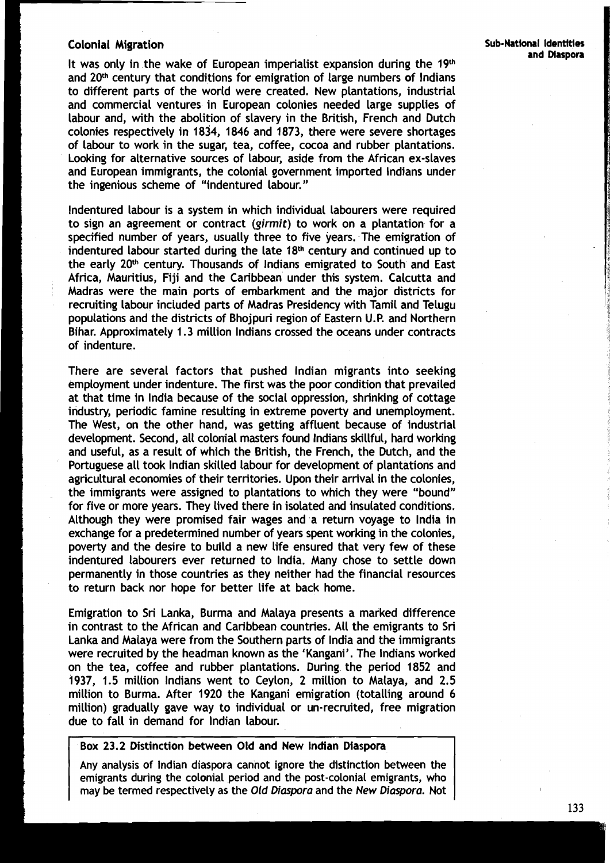**and Maspora** It was only in the wake of European imperialist expansion during the 19th and 20<sup>th</sup> century that conditions for emigration of large numbers of Indians to different parts of the world were created. New plantations, industrial and commercial ventures in European colonies needed large supplies of labour and, with the abolition of slavery in the British, French and Dutch colonies respectively in 1834, 1846 and 1873, there were severe shortages of labour to work in the sugar, tea, coffee, cocoa and rubber plantations. Looking for alternative sources of labour, aside from the African ex-slaves and European immigrants, the colonial government imported lndians under the ingenious scheme of "indentured labour."

Indentured labour is a system in which individual labourers were required to sign an agreement or contract **(girmit)** to work on a plantation for a specified number of years, usually three to five years. The emigration of indentured labour started during the late  $18<sup>th</sup>$  century and continued up to the early 20<sup>th</sup> century. Thousands of Indians emigrated to South and East Africa, Mauritius, Fiji and the Caribbean under this system. Calcutta and Madras were the main ports of embarkment and the major districts for recruiting labour included parts of Madras Presidency with Tamil and Telugu populations and the districts of Bhojpuri region of Eastern U.P. and Northern Bihar. Approximately 1.3 million lndians crossed the oceans under contracts of indenture.

There are several factors that pushed lndian migrants into seeking employment under indenture. The first was the poor condition that prevailed at that time in lndia because of the social oppression, shrinking of cottage industry, periodic famine resulting in extreme poverty and unemployment. The West, on the other hand, was getting affluent because of industrial development. Second, all colonial masters found lndians skillful, hard working and useful, as a result of which the British, the French, the Dutch, and the Portuguese all took lndian skilled labour for development of plantations and agricultural economies of their territories. Upon their arrival in the colonies, the immigrants were assigned to plantations to which they were "bound" for five or more years. They lived there in isolated and insulated conditions. Although they were promised fair wages and a return voyage to lndia in exchange for a predetermined number of years spent working in the colonies, poverty and the desire to build a new life ensured that very few of these indentured labourers ever returned to India. Many chose to settle down permanently in those countries as they neither had the financial resources to return back nor hope for better life at back home.

Emigration to Sri Lanka, Burma and Malaya presents a marked difference in contrast to the African and Caribbean countries. All the emigrants to Sri Lanka and Malaya were from the Southern parts of lndia and the immigrants were recruited by the headman known as the 'Kangani'. The lndians worked on the tea, coffee and rubber plantations. During the period 1852 and 1937, 1.5 million lndians went to Ceylon, 2 million to Malaya, and 2.5 million to Burma. After 1920 the Kangani emigration (totalling around 6 million) gradually gave way to individual or un-recruited, free migration due to fall in demand for lndian labour.

#### Box 23.2 Distinction between **Old** and New Indian Diaspora

Any analysis of lndian diaspora cannot ignore the distinction between the emigrants during the colonial period and the post-colonial emigrants, who may be termed respectively as the Old **Diaspora** and the **New Diaspora.** Not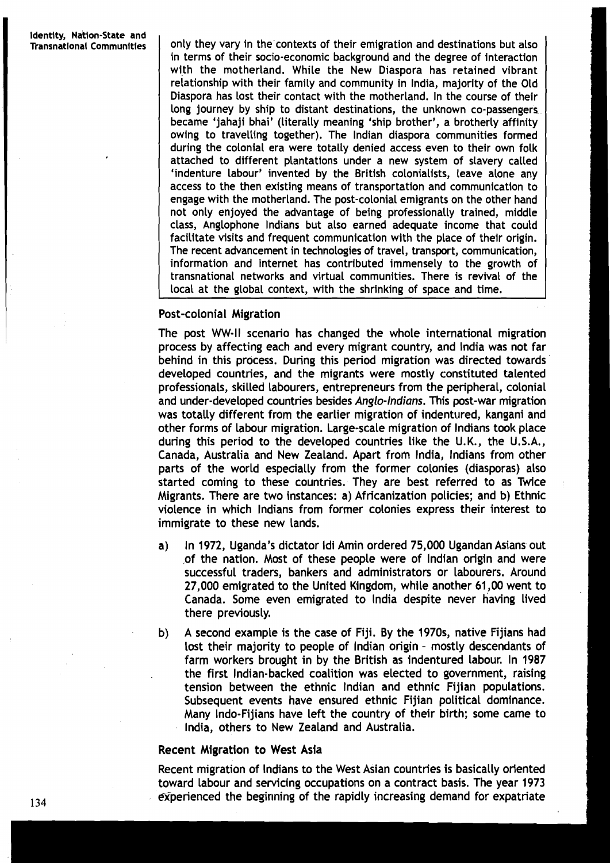**Transnational Communities** only they vary in the contexts of their emigration and destinations but also in terms of their socio-economic background and the degree of interaction with the motherland. While the New Diaspora has retained vibrant relationship with their family and community in India, majority of the Old Diaspora has Lost their contact with the motherland. In the course of their long journey by ship to distant destinations, the unknown co-passengers became 'jahaji bhai' (literally meaning 'ship brother', a brotherly affinity owing to travelling together). 'The lndian diaspora communities formed during the colonial era were totally denied access even to their own folk attached to different plantations under a new system of slavery called 'indenture labour' invented by the British colonialists, leave alone any access to the then existing means of transportation and communication to engage with the motherland. The post-colonial emigrants on the other hand not only enjoyed the advantage of being professionally trained, middle class, Anglophone lndians but also earned adequate income that could facilitate visits and frequent communication with the place of their origin. The recent advancement in technologies of travel, transport, communication, information and Internet has contributed immensely to the growth of transnational networks and virtual communities. There is revival of the local at the global context, with the shrinking of space and time.

#### Post-colonial Migration

The post WW-II scenario has changed the whole international migration process by affecting each and every migrant country, and lndia was not far behind in this process. During this period migration was directed towards developed countries, and the migrants were mostly constituted talented professionals, skilled labourers, entrepreneurs from the peripheral, colonial and under-developed countries besides Anglo-Indians. This post-war migration was totally different from the earlier migration of indentured, kangani and other forms of labour migration. Large-scale migration of lndians took place during this period to the developed countries like the U.K., the U.S.A., Canada, Australia and New Zealand. Apart from India, lndians from other parts of the world especially from the former colonies (diasporas) also started coming to these countries. 'They are best referred to as Twice Migrants. There are two instances: a) Africanization policies; and b) Ethnic violence in which lndians from former colonies express their interest to immigrate to these new Lands.

- a) In 1972, Uganda's dictator Idi Amin ordered 75,000 Ugandan Asians out ,of the nation. Most of these people were of lndian origin and were successful traders, bankers and administrators or labourers. Around 27,000 emigrated to the United Kingdom, while another 61,OO went to Canada. Some even emigrated to India despite never having lived there previously.
- b) A second example is the case of Fiji. By the **A** 970s, native Fijians had lost their majority to people of lndian origin - mostly descendants of farm workers brought in by the British as indentured labour. In 1987 the first Indian-backed coalition was elected to government, raising tension between the ethnic lndian and ethnic Fijian populations. Subsequent events have ensured ethnic Fijian political dominance. Many Indo-Fijians have left the country of their birth; some came to India, others to New Zealand and Australia.

#### Recent Migration to West Asia

Recent migration of lndians to the West Asian countries is basically oriented toward labour and servicing occupations on a contract basis. The year 1973 experienced the beginning of the rapidly increasing demand for expatriate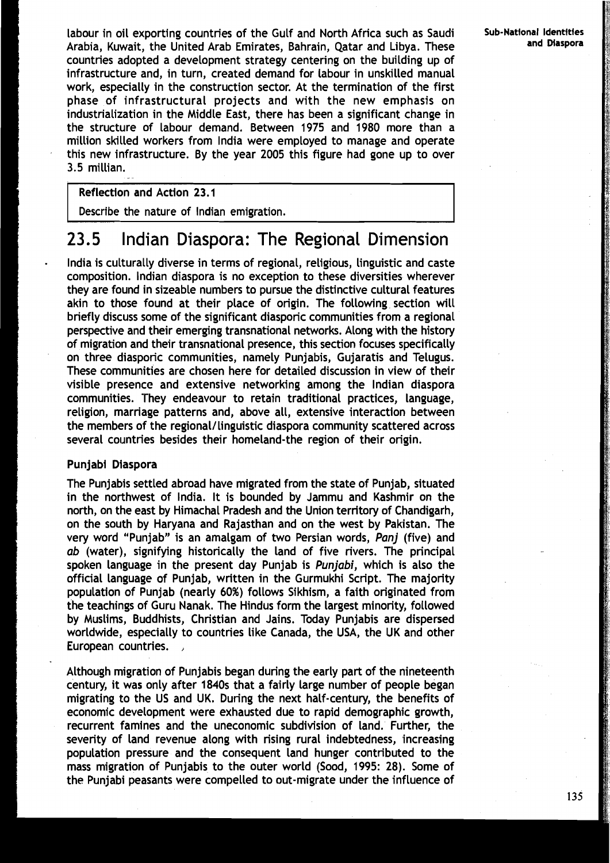labour in oil exporting countries of the Gulf and North Africa such as Saudi **Sub-National Identities Sub-National Identities** Arabia, Kuwait, the United Arab Emirates, Bahrain, Qatar and Libya. These countries adopted a development strategy centering on the building up of infrastructure and, in turn, created demand for labour in unskilled manual work, especially in the construction sector. At the termination of the first phase of infrastructural projects and with the new emphasis on industrialization in the Middle East, there has been a significant change in the structure of labour demand. Between 1975 and 1980 more than a million skilled workers from lndia were employed to manage and operate this new infrastructure. By the year 2005 this figure had gone up to over 3.5 millian.

### Reflection and Action 23.1

Describe the nature of lndian emigration.

# **23.5** lndian Diaspora: The Regional Dimension

- lndia is culturally diverse in terms of regional, religious, linguistic and caste composition. lndian diaspora is no exception to these diversities wherever they are found in sizeable numbers to pursue the distinctive cultural features akin to those found at their place of origin. The following section will briefly discuss some of the significant diasporic communities from a regional perspective and their emerging transnational networks. Along with the history of migration and their transnational presence, this section focuses specifically on three diasporic communities, namely Punjabis, Gujaratis and Telugus. These communities are chosen here for detailed discussion in view of their visible presence and extensive networking among the lndian diaspora communities. 'They endeavour to retain traditional practices, Language, religion, marriage patterns and, above all, extensive interaction between the members of the regional/linguistic diaspora community scattered across several countries besides their homeland-the region of their origin.

#### Punjabi Diaspora

The Punjabis settled abroad have migrated from the state of Punjab, situated in the northwest of India. It is bounded by Jammu and Kashmir on the north, on the east by Himachal Pradesh and the Union territory of Chandigarh, on the south by Haryana and Rajasthan and on the west by Pakistan. The very word "Punjab" is an amalgam of two Persian words, Panj (five) and ab (water), signifying historically the land of five rivers. The principal spoken language in the present day Punjab is Punjabi, which is also the official language of Punjab, written in the Gurmukhi Script. The majority population of Punjab (nearly 60%) follows Sikhism, a faith originated from the teachings of Guru Nanak. The Hindus form the largest minority, followed by Muslims, Buddhists, Christian and Jains. Today Punjabis are dispersed worldwide, especially to countries like Canada, the USA, the UK and other European countries.

Although migration of Punjabis began during the early part of the nineteenth century, it was only after 1840s that a fairly large number of people began migrating to the US and UK. During the next half-century, the benefits of economic development were exhausted due to rapid demographic growth, recurrent famines and the uneconomic subdivision of land. Further, the severity of land revenue along with rising rural indebtedness, increasing population pressure and the consequent land hunger contributed to the mass migration of Punjabis to the outer world (Sood, 1995: 28). Some of the Punjabi peasants were compelled to out-migrate under the influence of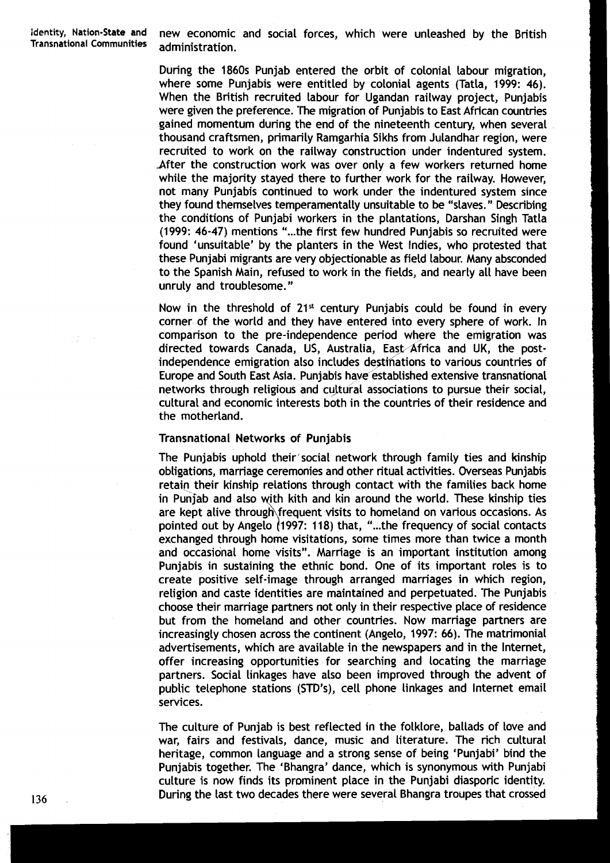**identity, Nation-State and** new economic and social forces, which were unleashed by the British

During the 1860s Punjab entered the orbit of colonial labour migration, where some Punjabis were entitled by colonial agents (Tatla, 1999: 46). When the British recruited labour for Ugandan railway project, Punjabis were given the preference. 'The migration of Punjabis to East African countries gained momentum during the end of the nineteenth century, when several thousand craftsmen, primarily Ramgarhia Sikhs from Julandhar region, were recruited to work on the railway construction under indentured system. After the construction work was over only a few workers returned home while the majority stayed there to further work for the railway. However, not many Punjabis continued to work under the indentured system since they found themselves temperamentally unsuitable to be "slaves." Describing the conditions of Punjabi workers in the plantations, Darshan Singh Tatla (1999: 46-47) mentions "...the first few hundred Punjabis so recruited were found 'unsuitable' by the planters in the West Indies, who protested that these Punjabi migrants are very objectionable as field labour. Many absconded to the Spanish Main, refused to work in the fields, and nearly all have been unruly and troublesome. "

Now in the threshold of  $21<sup>st</sup>$  century Punjabis could be found in every corner of the world and they have entered into every sphere of work. In comparison to the pre-independence period where the emigration was directed towards Canada, US, Australia, East Africa and UK, the post-Now in the threshold of 21<sup>st</sup> century Punjabis could be found in every corner of the world and they have entered into every sphere of work. In comparison to the pre-independence period where the emigration was directed to Europe and South East Asia. Punjabis have established extensive transnational networks through religious and cultural associations to pursue their social, cultural and economic interests both in the countries of their residence and the motherland.

#### Transnational Networks of Punjabis

The Punjabis uphold their'social network through family ties and kinship obligations, marriage ceremonies and other ritual activities. Overseas Punjabis retain their kinship relations through contact with the families back home in Punjab and also with kith and kin around the world. These kinship ties are kept alive through frequent visits to homeland on various occasions. As pointed out by Angelo  $(1997: 118)$  that, "...the frequency of social contacts exchanged through home visitations, some times more than twice a month and occasional home visits". Marriage is an important institution among Punjabis in sustaining the ethnic bond. One of its important roles is to create positive self-image through arranged marriages in which region, religion and caste identities are maintained and perpetuated. The Punjabis choose their marriage partners not only in their respective place of residence but from the homeland and other countries. Now marriage partners are increasingly chosen across the continent (Angelo, 1997: 66). The matrimonial advertisements, which are available in the newspapers and in the Internet, offer increasing opportunities for searching and locating the marriage partners. Social linkages have also been improved through the advent of public telephone stations (STD's), cell phone linkages and Internet email services.

The culture of Punjab is best reflected in the folklore, ballads of love and war, fairs and festivals, dance, music and literature. The rich cultural heritage, common language and a strong sense of being 'Punjabi' bind the Punjabis together. The 'Bhangra' dance, which is synonymous with Punjabi culture is now finds its prominent place in the Punjabi diasporic identity. During the last two decades there were several Bhangra troupes that crossed

136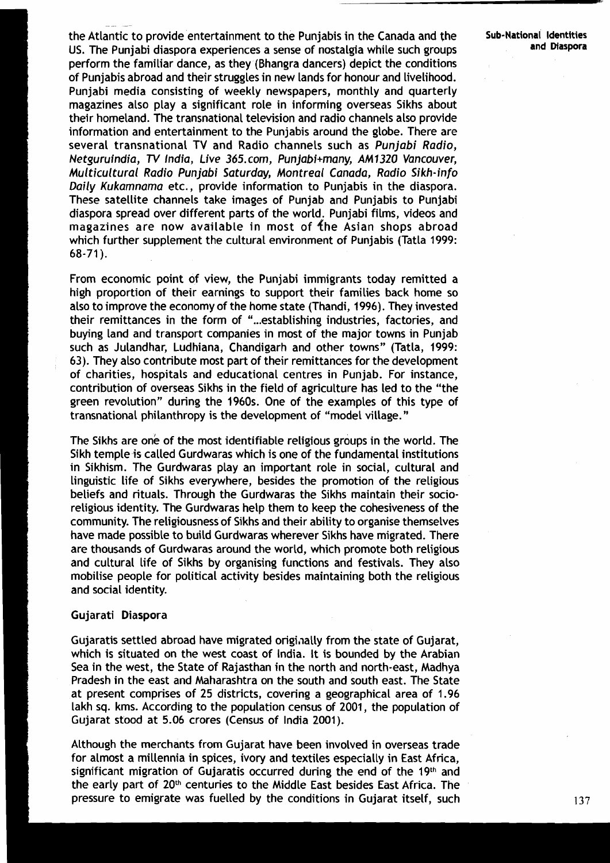the Atlantic to provide entertainment to the Punjabis in the Canada and the **Sub-National Identjties**  US. The Punjabi diaspora experiences a sense of nostalgia while such groups **and Diaspora**  perform the familiar dance, as they (Bhangra dancers) depict the conditions of Punjabis abroad and their struggles in new lands for honour and Livelihood. Punjabi media consisting of weekly newspapers, monthly and quarterly magazines also play a significant role in informing overseas Sikhs about their homeland. The transnational television and radio channels also provide information and entertainment to the Punjabis around the globe. There are several transnational TV and Radio channels such as Punjabi Radio, Netguruindia, TV India, Live 365.com, Punjabi+many, AM1320 Vancouver, Multicultural Radio Punjabi Saturday, Montreal Canada, Radio Sikh-info Daily Kukamnama etc., provide information to Punjabis in the diaspora. These satellite channels take images of Punjab and Punjabis to Punjabi diaspora spread over different parts of the world. Punjabi films, videos and magazines are now available in most of the Asian shops abroad which further supplement the cultural environment of Punjabis (Tatla 1999: 68-71 ).

From economic point of view, the Punjabi immigrants today remitted a high proportion of their earnings to support their families back home so also to improve the economy of the home state (Thandi, 1996). They invested their remittances in the form of "...establishing industries, factories, and buying land and transport companies in most of the major towns in Punjab such as Julandhar, Ludhiana, Chandigarh and other towns" (Tatla, 1999: 63). They also contribute most part of their remittances for the development of charities, hospitals and educational centres in Punjab. For instance, contribution of overseas Sikhs in the field of agriculture has led to the "the green revolution" during the 1960s. One of the examples of this type of transnational philanthropy is the development of "model village."

The Sikhs are one of the most identifiable religious groups in the world. The Sikh temple is called Gurdwaras which is one of the fundamental institutions in Sikhism. The Gurdwaras play an important role in social, cultural and linguistic life of Sikhs everywhere, besides the promotion of the religious beliefs and rituals. Through the Gurdwaras the Sikhs maintain their socioreligious identity. The Gurdwaras help them to keep the cohesiveness of the community. The religiousness of Sikhs and their ability to organise themselves have made possible to build Gurdwaras wherever Sikhs have migrated. There are thousands of Gurdwaras around the world, which promote both religious and cultural life of Sikhs by organising functions and festivals. They also mobilise people for political activity besides maintaining both the religious and social identity.

#### Gujarati Diaspora

--

Gujaratis settled abroad have migrated originally from the state of Gujarat, which is situated on the west coast of India. It is bounded by the Arabian Sea in the west, the State of Rajasthan in the north and north-east, Madhya Pradesh in the east and Maharashtra on the south and south east. The State at present comprises of 25 districts, covering a geographical area of 1.96 lakh sq. kms. According to the population census of 2001, the population of Gujarat stood at 5.06 crores (Census of India 2001 ).

Although the merchants from Gujarat have been involved in overseas trade for almost a millennia in spices, ivory and textiles especially in East Africa, significant migration of Gujaratis occurred during the end of the 19th and the early part of 20<sup>th</sup> centuries to the Middle East besides East Africa. The pressure to emigrate was fuelled by the conditions in Gujarat itself, such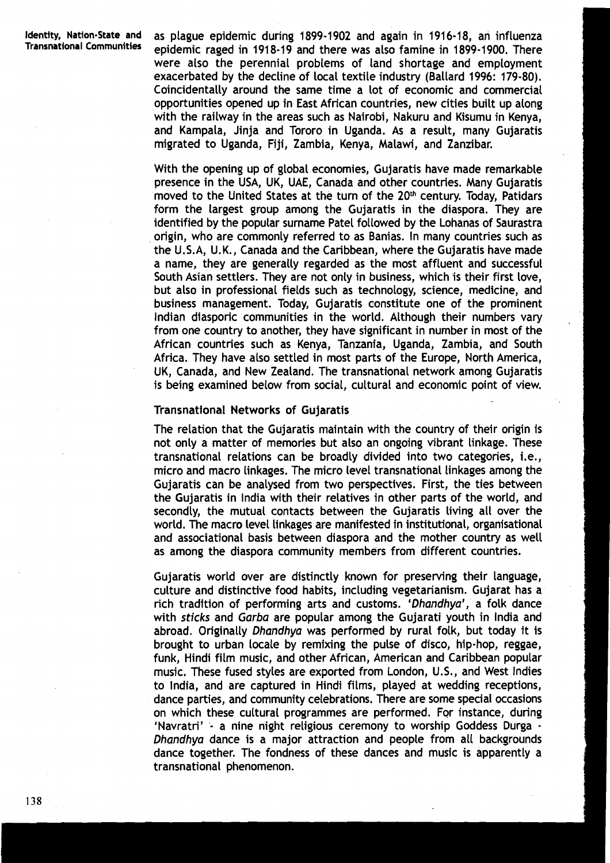**Identity, Nation-State and** as plague epidemic during **1899-1902** and again in **191 6-18,** an influenza **Communities** epidemic raged in **191 8-1 9** and there was also famine in **1899-1 900.** There were also the perennial problems of land shortage and employment exacerbated by the decline of local textile industry (Ballard **1996: 179-80).**  Coincidentally around the same time a lot of economic and commercial opportunities opened up in East African countries, new cities built up along with the railway in the areas such as Nairobi, Nakuru and Kisumu in Kenya, and Kampala, Jinja and Tororo in Uganda. As a result, many Gujaratis migrated to Uganda, Fiji, Zambia, Kenya, Malawi, and Zanzibar.

> With the opening up of global economies, Gujaratis have made remarkable presence in the USA, UK, UAE, Canada and other countries. Many Gujaratis moved to the United States at the turn of the **20th** century. Today, Patidars form the largest group among the Gujaratis in the diaspora. They are identified by the popular surname Patel followed by the Lohanas of Saurastra origin, who are commonly referred to as Banias. In many countries such as the U.S.A, U.K., Canada and the Caribbean, where the Gujaratis have made a name, they are generally regarded as the most affluent and successful South Asian settlers. They are not only in business, which is their first love, but also in professional fields such as technology, science, medicine, and business management. Today, Gujaratis constitute one of the prominent Indian diasporic communities in the world. Although their numbers vary from one country to another, they have significant in number in most of the African countries such as Kenya, Tanzania, Uganda, Zambia, and South Africa. They have also settled in most parts of the Europe, North America, UK, Canada, and New Zealand. The transnational network among Gyjaratis is being examined below from social, cultural and economic point of view.

#### Transnational Networks of Gujaratis

The relation that the Gujaratis maintain with the country of their origin is not only a matter of memories but also an ongoing vibrant linkage. These transnational relations can be broadly divided into two categories, i.e., micro and macro linkages. The micro level transnational linkages among the Gujaratis can be analysed from two perspectives. First, the ties between the Gujaratis in lndia with their relatives in other parts of the world, and secondly, the mutual contacts between the Gujaratis living all over the world. The macro level linkages are manifested in institutional, organisational and associational basis between diaspora and the mother country as well as among the diaspora community members from different countries.

Gujaratis world over are distinctly known for preserving their language, culture and distinctive food habits, including vegetarianism. Gujarat has a rich tradition of performing arts and customs. 'Dhandhya', a folk dance with sticks and Garba are popular among the Gujarati youth 'in lndia and abroad. Originally Dhandhya was performed by rural folk, but today it is brought to urban locale by remixing the pulse of disco, hip-hop, reggae, funk, Hindi film music, and other African, American and Caribbean popular music. These fused styles are exported from London, U.S., and West lndies to India, and are captured in Hindi films, played at wedding receptions, dance parties, and community celebrations. There are some special occasions on which these cultural programmes are performed. For instance, during 'Navratri' - a nine night religious ceremony to worship Goddess Durga - Dhandhya dance is a major attraction and people from all backgrounds dance together. The fondness of these dances and music is apparently a transnational phenomenon.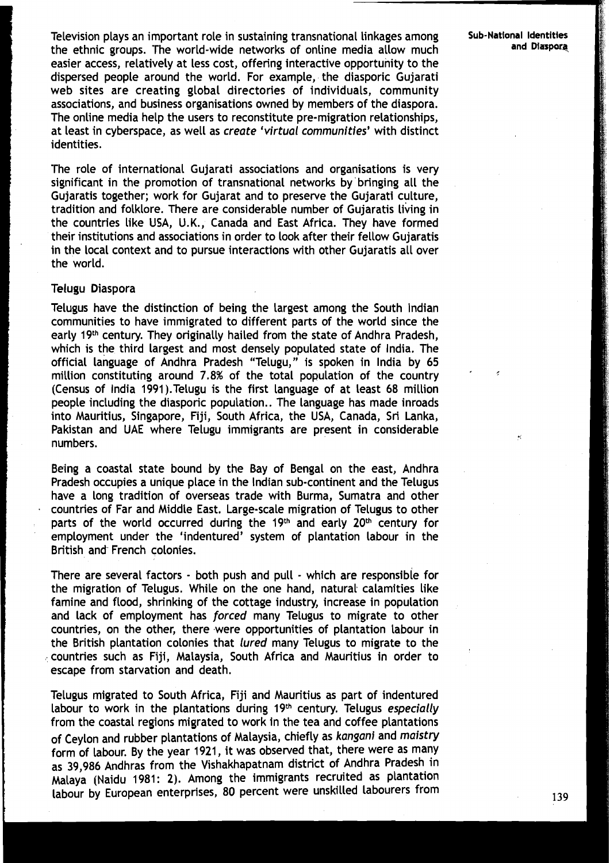Television plays an important role in sustaining transnational linkages among **Sub-Natlonal Identities**  the ethnic groups. The world-wide networks of online media allow much easier access, relatively at less cost, offering interactive opportunity to the dispersed people around the world. For example, the diasporic Gujarati web sites are creating global directories of individuals, community associations, and business organisations owned by members of the diaspora. The online media help the users to reconstitute pre-migration relationships, at least in cyberspace, as well as *create 'virtual communities'* with distinct identities.

'The role of international Gujarati associations and organisations is very significant in the promotion of transnational networks by bringing all the Gujaratis together; work for Gujarat and to preserve the Gujarati culture, tradition and folklore. There are considerable number of Gujaratis living in the countries like USA, U.K., Canada and East Africa. They have formed their institutions and associations in order to look after their fellow Gujaratis in the local context and to pursue interactions with other Gujaratis all over the world.

#### Telugu Diaspora

Telugus have the distinction of being the Largest among the South Indian communities to have immigrated to different parts of the world since the early 19th century. They originally hailed from the state of Andhra Pradesh, which is the third largest and most densely populated state of India. The official language of Andhra Pradesh "Telugu," is spoken in lndia by 65 million constituting around 7.8% of the total population of the country (Census of lndia 1991).Telugu is the first language of at least 68 million people including the diasporic population.. The language has made inroads into Mauritius, Singapore, Fiji, South Africa, the USA, Canada, Sri Lanka, Pakistan and UAE where Telugu immigrants are present in considerable numbers.

Being a coastal state bound by the Bay of Bengal on the east, Andhra Pradesh occupies a unique place in the Indian sub-continent and the Telugus have a long tradition of overseas trade with Burma, Sumatra and other **<sup>a</sup>**countries of Far and Middle East. Large-scale migration of Telugus to other parts of the world occurred during the 19th and early 20th century for employment under the 'indentured' system of plantation labour in the British and French colonies.

There are several factors - both push and pull - which are responsible for the migration of Telugus. While on the one hand, natural calamities like famine and flood, shrinking of the cottage industry, increase in population and lack of employment has forced many Telugus to migrate to other countries, on the other, there were opportunities of plantation Labour in the British plantation colonies that lured many Telugus to migrate to the countries such as Fiji, Malaysia, South Africa and Mauritius in order to escape from starvation and death.

Telugus migrated to South Africa, Fiji and Mauritius as part of indentured labour to work in the plantations during 19<sup>th</sup> century. Telugus especially from the coastal regions migrated to work in the tea and coffee plantations of Ceylon and rubber plantations of Malaysia, chiefly as kangani and maistry form of Labour. By the year 1921, it was observed that, there were as many as 39,986 Andhras from the Vishakhapatnam district of Andhra Pradesh in Malaya (Naidu 1981: 2). Among the immigrants recruited as plantation labour by European enterprises, 80 percent were unskilled labourers from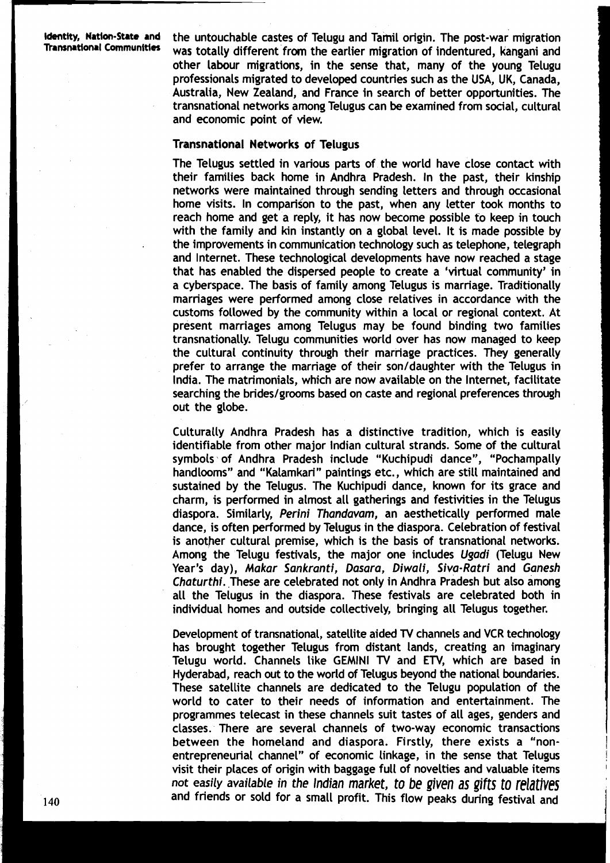**Identity, Nation-State and** the untouchable castes of Telugu and Tamil origin. The post-war migration Transpation was totally different from the earlier migration of indentured, kangani and other labour migrations, in the sense that, many of the young Telugu professionals migrated to developed countries such as the USA, UK, Canada, Australia, New Zealand, and France in search of better opportunities. The transnational networks among Telugus can be examined from social, cultural and economic point of view.

#### Transnational Networks of Telugus

The Telugus settled in various parts of the world have close contact with their families back home in Andhra Pradesh. In the past, their kinship networks were maintained through sending letters and through occasional home visits. In comparison to the past, when any letter took months to reach home and get a reply, it has now become possible to keep in touch with the family and kin instantly on a global level. It is made possible by . the improvements in communication technology such as telephone, telegraph and Internet. 'These technological developments have now reached a stage that has enabled the dispersed people to create a 'virtual community' in a cyberspace. The basis of family among Telugus is marriage. Traditionally marriages were performed among close relatives in accordance with the customs followed by the community within a local or regional context. At present marriages among Telugus may be found binding two families transnationally. Telugu communities world over has now managed to keep the cultural continuity through their marriage practices. They generally prefer to arrange the marriage of their son/daughter with the Telugus in India. The matrimonials, which are now available on the Internet, facilitate searching the brides/grooms based on caste and regional preferences through out the globe.

Culturally Andhra Pradesh has a distinctive tradition, which is easily identifiable from other major Indian cultural strands. Some of the cultural symbols of Andhra Pradesh include "Kuchipudi dance", "Pochampally handlooms" and "Kalamkari" paintings etc., which are still maintained and sustained by the Telugus. 'The Kuchipudi dance, known for its grace and charm, is performed in almost all gatherings and festivities in the Telugus diaspora. Similarly, Perini Thandavam, an aesthetically performed male dance, is often performed by Telvgus in the diaspora. Celebration of festival is another cultural premise, which is the basis of transnational networks. Among the Telugu festivals, the major one includes Ugadi (Telugu New Year's day), Makar Sankranti, Dasara, Diwali, Siva-Ratri and Ganesh Chaturthi. These are celebrated not only in Andhra Pradesh but also among all the Telugus in the diaspora. 'These festivals are celebrated both in individual homes and outside collectively, bringing all Telugus together.

Development of transnational, satellite aided **TV** channels and VCR technology has brought together Telugus from distant lands, creating an imaginary Telvgu world. Channels like GEMINI **TV** and **ETV,** which are based in Hyderabad, reach out to the world of Telugus beyond the national boundaries. These satellite channels are dedicated to the Telugu population of the world to cater to their needs of information and entertainment. 'The programmes telecast in these channels suit tastes of all ages, genders and classes. There are several channels of two-way economic transactions between the homeland and diaspora. Firstly, there exists a "nonentrepreneurial channel" of economic linkage, in the sense that Telugus visit their places of origin with baggage full of novelties and valuable items not easily available in the Indian market, to be given as gifts to relatives and friends or sold for a small profit. This flow peaks during festival and